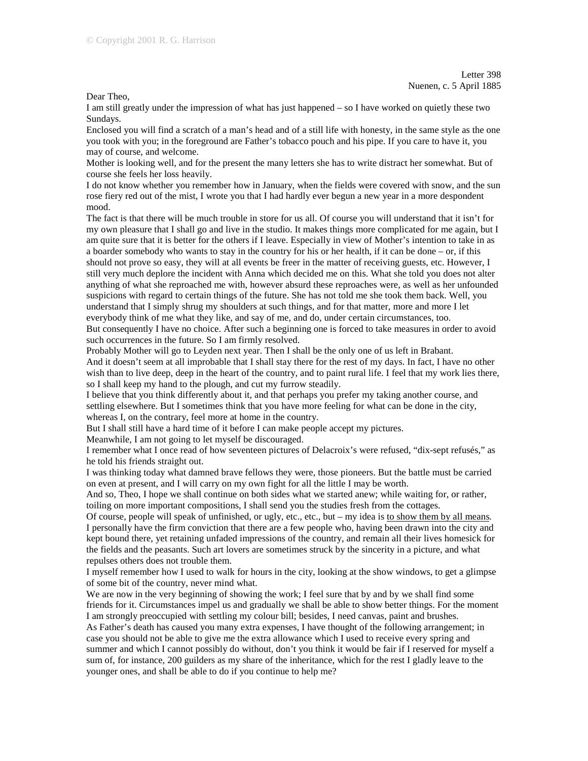Dear Theo,

I am still greatly under the impression of what has just happened – so I have worked on quietly these two Sundays.

Enclosed you will find a scratch of a man's head and of a still life with honesty, in the same style as the one you took with you; in the foreground are Father's tobacco pouch and his pipe. If you care to have it, you may of course, and welcome.

Mother is looking well, and for the present the many letters she has to write distract her somewhat. But of course she feels her loss heavily.

I do not know whether you remember how in January, when the fields were covered with snow, and the sun rose fiery red out of the mist, I wrote you that I had hardly ever begun a new year in a more despondent mood.

The fact is that there will be much trouble in store for us all. Of course you will understand that it isn't for my own pleasure that I shall go and live in the studio. It makes things more complicated for me again, but I am quite sure that it is better for the others if I leave. Especially in view of Mother's intention to take in as a boarder somebody who wants to stay in the country for his or her health, if it can be done – or, if this should not prove so easy, they will at all events be freer in the matter of receiving guests, etc. However, I still very much deplore the incident with Anna which decided me on this. What she told you does not alter anything of what she reproached me with, however absurd these reproaches were, as well as her unfounded suspicions with regard to certain things of the future. She has not told me she took them back. Well, you understand that I simply shrug my shoulders at such things, and for that matter, more and more I let everybody think of me what they like, and say of me, and do, under certain circumstances, too.

But consequently I have no choice. After such a beginning one is forced to take measures in order to avoid such occurrences in the future. So I am firmly resolved.

Probably Mother will go to Leyden next year. Then I shall be the only one of us left in Brabant. And it doesn't seem at all improbable that I shall stay there for the rest of my days. In fact, I have no other wish than to live deep, deep in the heart of the country, and to paint rural life. I feel that my work lies there, so I shall keep my hand to the plough, and cut my furrow steadily.

I believe that you think differently about it, and that perhaps you prefer my taking another course, and settling elsewhere. But I sometimes think that you have more feeling for what can be done in the city, whereas I, on the contrary, feel more at home in the country.

But I shall still have a hard time of it before I can make people accept my pictures.

Meanwhile, I am not going to let myself be discouraged.

I remember what I once read of how seventeen pictures of Delacroix's were refused, "dix-sept refusés," as he told his friends straight out.

I was thinking today what damned brave fellows they were, those pioneers. But the battle must be carried on even at present, and I will carry on my own fight for all the little I may be worth.

And so, Theo, I hope we shall continue on both sides what we started anew; while waiting for, or rather, toiling on more important compositions, I shall send you the studies fresh from the cottages.

Of course, people will speak of unfinished, or ugly, etc., etc., but – my idea is to show them by all means*.* I personally have the firm conviction that there are a few people who, having been drawn into the city and kept bound there, yet retaining unfaded impressions of the country, and remain all their lives homesick for the fields and the peasants. Such art lovers are sometimes struck by the sincerity in a picture, and what repulses others does not trouble them.

I myself remember how I used to walk for hours in the city, looking at the show windows, to get a glimpse of some bit of the country, never mind what.

We are now in the very beginning of showing the work; I feel sure that by and by we shall find some friends for it. Circumstances impel us and gradually we shall be able to show better things. For the moment I am strongly preoccupied with settling my colour bill; besides, I need canvas, paint and brushes.

As Father's death has caused you many extra expenses, I have thought of the following arrangement; in case you should not be able to give me the extra allowance which I used to receive every spring and summer and which I cannot possibly do without, don't you think it would be fair if I reserved for myself a sum of, for instance, 200 guilders as my share of the inheritance, which for the rest I gladly leave to the younger ones, and shall be able to do if you continue to help me?